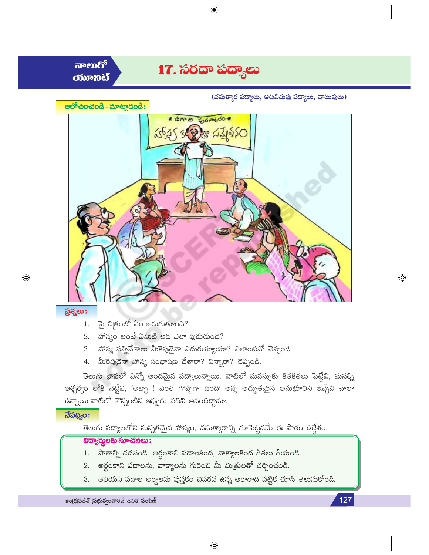

<u>ನಾಲುಗ್</u>  $\boldsymbol{\mathrm{conv}}$ 

(చమత్కార పద్యాలు, ఆటవిడుపు పద్యాలు, చాటువులు)





#### ప్రశ్నలు:

 $\bigoplus$ 

- $1.$   $\vec{p}$  చిబ్రంలో ఏం జరుగుతూంది?
- 2. హాస్యం అంటే ఏమిటి అది ఎలా పుడుతుంది?
- 3 హాస్య సన్నివేశాలు మీకెపుడైనా ఎదురయ్యాయా? ఎలాంటివో చెప్పండి.
- 4. మీరెపుడైనా హాస్య సంభాషణ చేశారా? విన్నారా? చెప్పండి.

తెలుగు భాషలో ఎన్నో అందమైన పద్యాలున్నాయి. వాటిలో మనస్సుకు కితకితలు పెట్టేవి, మనల్ని ఆశ్చర్యం లోకి నెట్టేవి, 'అబ్బా ! ఎంత గొప్పగా ఉంది' అన్న అద్భుతమైన అనుభూతిని ఇచ్చేవి చాలా ఉన్నాయి.వాటిలో కొన్నింటిని ఇప్పుడు చదివి ఆనందిద్దామా.

# $\overline{\mathfrak{Z}}$ పథ్యం:

తెలుగు పద్యాలలోని సున్నితమైన హాస్యం, చమత్కారాన్ని చూపెట్టడమే ఈ పాఠం ఉద్దేశం.

# $\overline{\text{log}}$ ర్దులకు సూచనలు:

- 1. పాఠాన్ని చదవండి. అర్థంకాని పదాలకింద, వాక్యాలకింద గీతలు గీయండి.
- 2. అర్థంకాని పదాలను, వాక్యాలను గురించి మీ మిత్రులతో చర్చించండి.
- తెలియని పదాల అర్థాలను పుస్తకం చివరన ఉన్న అకారాది పట్టిక చూసి తెలుసుకోండి. 3.

 $\bigoplus$ 

ఆంధ్రప్రదేశ్ (పభుత్వంవారిచే ఉచిత పంపిణీ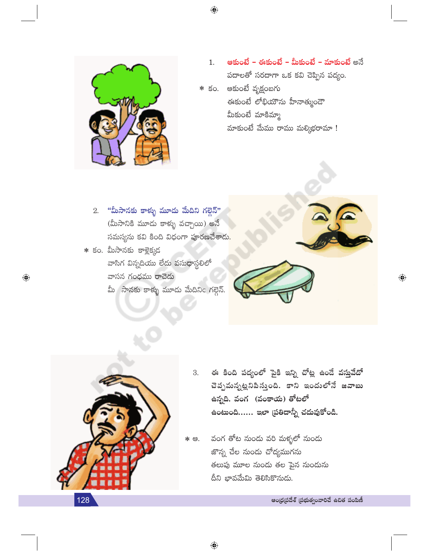

- ఆకుంటే ఈకుంటే మీకుంటే మాకుంటే అనే  $1.$ పదాలతో సరదాగా ఒక కవి చెప్పిన పద్యం.
- $\boldsymbol *$  కం. ఆకుంటే వృక్షంబగు ఈకుంటే లోభియౌను హీనాత్ముండౌ మీకుంటే మాకిమ్మా మాకుంటే మేము రాము మల్కిభరామా !

 $2.$  "మీసానకు కాళ్ళు మూడు మేదిని గల్గెన్" (మీసానికి మూడు కాళ్ళు వచ్చాయి) అనే సమస్యను కవి కింది విధంగా పూరణచేశాదు<mark>.</mark>

 $*$  కం. మీసానకు కాళ్లెక్కడ వాసిగ విన్నదియు లేదు వసు<mark>ధా</mark>స్థలిలో వాసన గంధము రాచెడు మీ సానకు కాళ్ళు మూడు మేదినిc గల్గెన్.



 $\bigoplus$ 



 $\bigoplus$ 

- ఈ కింది పద్యంలో పైకి ఇన్ని చోట్ల ఉండే వస్తువేదో 3. చెప్పమన్నట్లనిపిస్తుంది. కాని ఇందులోనే జవాబు ఉన్నది. వంగ (వంకాయ) తోటలో ఉంటుంది...... ఇలా (పతిదాన్నీ చదువుకోండి.
- వంగ తోట నుండు వరి మక్ళలో నుండు \* ఆ. జొన్న చేల నుండు చోద్యముగను తలుపు మూల నుండు తల పైన నుండును దీని భావమేమి తెలిసికొనుడు.

ఆంధ్రప్రదేశ్ (పభుత్వంవారిచే ఉచిత పంపిణీ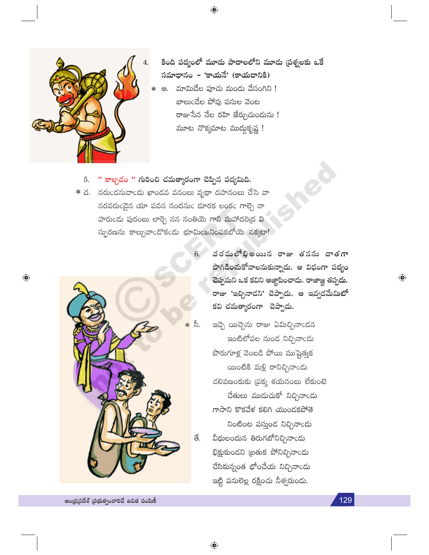

కింది పద్యంలో మూడు పాదాలలోని మూడు (పశ్నలకు ఒకే సమాధానం - 'కాయనే' (కాయదానికి) \* ఆ. మామిడేల పూచు మండు వేసంగిని ! బాలుండేల పోవు పసుల వెంట రాజుసేన నేల రహి జేర్చుచుందును ! మూట నొక్కమాట ముద్దుకృష్ణ !

" కాల్చడం " గురించి చమత్మారంగా చెప్పిన పద్యమిది. 5.

 $*$  చ. నరుండనువాండు ఖాండవ వనంబు వృథా దహనంబు చేసె వా సరవరుండైన యా పవన నందనుం దూరక లంకం గాల్చె నా హరుండు పురంబు లార్చె నన నంతియె గాని మహాదరిద్ర వి స్పురణను కాల్చువాండొకండు భూమింజనింపకబోయె నక్కటా!



- 6. వరపులోభిఅయిన రాజు తనను దాతగా పొగిడించుకోవాలనుకున్నాడు. ఆ విధంగా పద్యం చెప్పమని ఒక కవిని ఆజ్ఞాపించాడు. రాజాజ్ఞ తప్పదు. రాజు 'ఇచ్చినాడని' చెప్పాడు. ఆ ఇవ్వడమేమిటో కవి చమత్మారంగా చెప్పాడు.
	- ఇచ్చె యిచ్చెను రాజు ఏమిచ్చినాండన ఇంటిలోపల నుండ నిచ్చినాండు పొరుగూళ్ల వెంబడి పోయి ముష్టెత్తుక యింటికి మళ్లి రానిచ్చినాండు చలివణంకుకు (పక్క శయనంబు లేకుంటె చేతులు ముడుచుకో నిచ్చినాండు గాసాని కొకవేళ కలిగి యుండకపోతె నింటింట పస్తుండ నిచ్చినాండు వీథులందున తిరుగబోనిచ్చినాండు భిక్షుకుండని ట్రతుక పోనిచ్చినాండు చేసికున్నంత భోంచేయ నిచ్చినాండు ఇట్టి పనులెల్ల రక్షించు నీశ్వరుండు.

 $\bigoplus$ 

129

 $\bigoplus$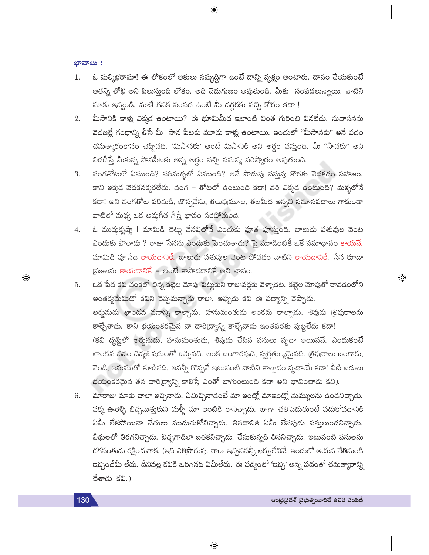ಭಾವಾಲು:

ఓ మల్కిభరామా! ఈ లోకంలో ఆకులు సమృద్ధిగా ఉంటే దాన్ని వృక్షం అంటారు. దానం చేయకుంటే 1. అతన్ని లోభి అని పిలుస్తుంది లోకం. అది చెడుగుణం అవుతుంది. మీకు సంపదలున్నాయి. వాటిని మాకు ఇవ్వండి. మాకే గనక సంపద ఉంటే మీ దగ్గరకు వచ్చి కోరం కదా !

 $\bigoplus$ 

- మీసానికి కాళ్లు ఎక్కడ ఉంటాయి? ఈ భూమిమీద ఇలాంటి వింత గురించి వినలేదు. సువాసనను 2. వెదజల్లే గంధాన్ని తీసే మీ సాన పీటకు మూడు కాళ్లు ఉంటాయి. ఇందులో "మీసానకు" అనే పదం చమత్కారంకోసం చెప్పినది. 'మీసానకు' అంటే మీసానికి అని అర్థం వస్తుంది. మీ ''సానకు'' అని విడదీస్తే మీకున్న సానపీటకు అన్న అర్థం వచ్చి సమస్య పరిష్కారం అవుతుంది.
- వంగతోటలో ఏముంది? వరిమళ్ళలో ఏముంది? అనే పొడుపు వస్తువు కొరకు వెదకడం సహజం. 3. కాని ఇక్కడ వెదకనక్కరలేదు. వంగ – తోటలో ఉంటుంది కదా! వరి ఎక్కడ ఉంటుంది? మళ్ళలోనే కదా! అని వంగతోట వరిమడి, జొన్నచేను, తలుపుమూల, తలమీద అన్నవి సమాసపదాలు గాకుండా వాటిలో మధ్య ఒక అద్దుగీత గీస్తే భావం సరిపోతుంది.
- ఓ ముద్దకృష్ణా ! మామిడి చెట్టు వేసవిలోనే ఎందుకు పూత పూస్తుంది. బాలుదు పశువుల వెంట 4. ఎందుకు పోతాడు ? రాజు సేనను ఎందుకు పెంచుతాడు? పై మూడింటికీ ఒకే సమాధానం కాయనే. మామిడి పూసేది కాయడానికే. బాలుడు పశువుల వెంట పోవడం వాటిని కాయడానికే. సేన కూడా (పజలను కాయడానికే – అంటే కాపాడడానికే అని భావం.
- ఒక పేద కవి చంకలో చిన్న కట్టెల మోపు పెట్టుకుని రాజువద్దకు వెళ్ళాడట. కట్టెల మోపుతో రావడంలోని 5. ఆంతర్యమేమిటో కవిని చెప్పమన్నాడు రాజు. అప్పుడు కవి ఈ పద్యాన్ని చెప్పాడు. అర్జునుడు ఖాండవ వనాన్ని కాల్చాడు. హనుమంతుడు లంకను కాల్చాడు. శివుడు త్రిపురాలను కాల్చేశాడు. కాని భయంకరమైన నా దారి(ద్యాన్ని కాల్చేవాడు ఇంతవరకు పుట్టలేదు కదా! (కవి దృష్టిలో అర్హునుడు, హనుమంతుడు, శివుడు చేసిన పనులు వృథా అయినవే. ఎందుకంటే ఖాండవ వనం దివ్యఓషదులతో ఒప్పినది. లంక బంగారపుది, స్వర్గతుల్యమైనది. (తిపురాలు బంగారు, వెండి, ఇనుముతో కూడినది. ఇవన్నీ గొప్పవే ఇటువంటి వాటిని కాల్చడం వృథాయే కదా! వీటి బదులు భయంకరమైన తన దారి(ద్యాన్ని కాలిస్తే ఎంతో బాగుంటుంది కదా అని భావించాడు కవి).
- మారాజు మాకు చాలా ఇచ్చినాడు. ఏమిచ్చినాడంటే మా ఇంట్లో మాఇంట్లో మమ్ములను ఉండనిచ్చాడు. 6. పక్క ఊరెళ్ళి బిచ్చమెత్తుకుని మళ్ళీ మా ఇంటికి రానిచ్చాడు. బాగా చలిపెదుతుంటే పదుకోవదానికి ఏమీ లేకపోయినా చేతులు ముదుచుకోనిచ్చాడు. తినడానికి ఏమీ లేనపుడు పస్తులుందనిచ్చాడు. వీథులలో తిరగనిచ్చాడు. బిచ్చగాడిలా బతకనిచ్చాడు. చేసుకున్నది తిననిచ్చాడు. ఇటువంటి పనులను భగవంతుడు రక్షించుగాక. (ఇది ఎత్తిపొడుపు. రాజు ఇచ్చినవన్నీ ఖర్చులేనివే. ఇందులో ఆయన చేతినుండి ఇచ్చిందేమీ లేదు. దీనివల్ల కవికి ఒరిగినది ఏమీలేదు. ఈ పద్యంలో 'ఇచ్చి' అన్న పదంతో చమత్కారాన్ని చేశాదు కవి.)

 $\bigoplus$ 

 $\bigoplus$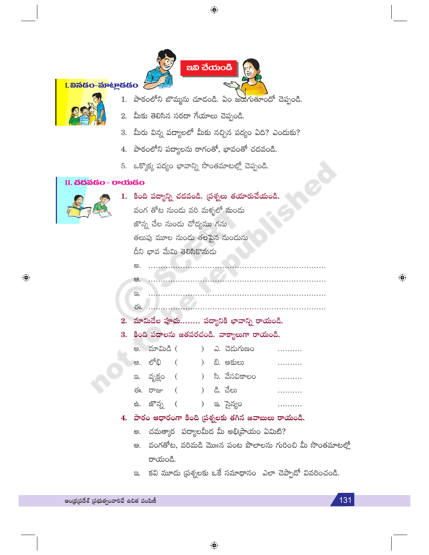

<mark>I. කිර්ශිර-ක</mark>ිංහුයියිර



- 1. పాఠంలోని బొమ్మను చూడండి. ఏం జరుగుతూందో చెప్పండి.
- 2. మీకు తెలిసిన సరదా గేయాలు చెప్పండి.
- 3. మీరు విన్న పద్యాలలో మీకు నచ్చిన పద్యం ఏది? ఎందుకు?
- 4. పాఠంలోని పద్యాలను రాగంతో, భావంతో చదవండి.
- 5. ఒక్కొక్క పద్యం భావాన్ని సొంతమాటల్లో చెప్పండి.

## II. **చదవడం - రాయడం**



 $\bigoplus$ 

|  |                                               |                             | 1.  కింది పద్యాన్ని చదవండి. (పశ్నలు తయారుచేయండి. |  |  |                                                      |  |                                                             |  |  |  |  |  |  |
|--|-----------------------------------------------|-----------------------------|--------------------------------------------------|--|--|------------------------------------------------------|--|-------------------------------------------------------------|--|--|--|--|--|--|
|  |                                               |                             | వంగ తోట నుండు వరి మళ్ళలో నుండు                   |  |  |                                                      |  |                                                             |  |  |  |  |  |  |
|  |                                               | జొన్న చేల నుండు చోద్యము గను |                                                  |  |  |                                                      |  |                                                             |  |  |  |  |  |  |
|  |                                               |                             | తలుపు మూల నుందు తలపైన నుందును                    |  |  |                                                      |  |                                                             |  |  |  |  |  |  |
|  |                                               |                             | దీని భావ మేమి తెలిసికొనుడు                       |  |  |                                                      |  |                                                             |  |  |  |  |  |  |
|  | అ.                                            |                             |                                                  |  |  |                                                      |  |                                                             |  |  |  |  |  |  |
|  |                                               |                             |                                                  |  |  |                                                      |  |                                                             |  |  |  |  |  |  |
|  | $\infty$ .                                    |                             |                                                  |  |  |                                                      |  |                                                             |  |  |  |  |  |  |
|  | ఈ.                                            |                             |                                                  |  |  |                                                      |  |                                                             |  |  |  |  |  |  |
|  |                                               |                             |                                                  |  |  | 2.  మామిడేల పూచు పద్యానికి భావాన్ని రాయండి.          |  |                                                             |  |  |  |  |  |  |
|  | 3.  కింది పదాలను జతపరచండి. వాక్యాలుగా రాయండి. |                             |                                                  |  |  |                                                      |  |                                                             |  |  |  |  |  |  |
|  |                                               |                             |                                                  |  |  | అ. మామిడి ( ) ఎ. చెడుగుణం                            |  |                                                             |  |  |  |  |  |  |
|  |                                               |                             | ఆ. లోభి (  ) బి. ఆకులు                           |  |  |                                                      |  |                                                             |  |  |  |  |  |  |
|  |                                               |                             |                                                  |  |  | ఇ. వృక్షం (  ) సి. వేసవికాలం                         |  |                                                             |  |  |  |  |  |  |
|  |                                               |                             | ఈ. రాజు (     ) డి. చేలు                         |  |  |                                                      |  |                                                             |  |  |  |  |  |  |
|  |                                               | ఉ. జొన్న (                  |                                                  |  |  | ) ఇ. సైన్యం                                          |  |                                                             |  |  |  |  |  |  |
|  |                                               |                             |                                                  |  |  | 4.  పాఠం ఆధారంగా కింది (పశ్నలకు తగిన జవాబులు రాయండి. |  |                                                             |  |  |  |  |  |  |
|  |                                               |                             |                                                  |  |  | అ.  చమత్కార  పద్యాలమీద మీ అభి[ప్రాయం ఏమిటి?          |  |                                                             |  |  |  |  |  |  |
|  |                                               |                             |                                                  |  |  |                                                      |  | అ.   వంగతోట, వరిమడి మొ॥న పంట పొలాలను గురించి మీ సొంతమాటల్లో |  |  |  |  |  |  |
|  |                                               | రాయండి.                     |                                                  |  |  |                                                      |  |                                                             |  |  |  |  |  |  |
|  |                                               |                             |                                                  |  |  |                                                      |  | ఇ. కవి మూడు (పశ్నలకు ఒకే సమాధానం ఎలా చెప్పాడో వివరించండి.   |  |  |  |  |  |  |
|  |                                               |                             |                                                  |  |  |                                                      |  |                                                             |  |  |  |  |  |  |

SO

 $\bigoplus$ 

 $\bigcirc$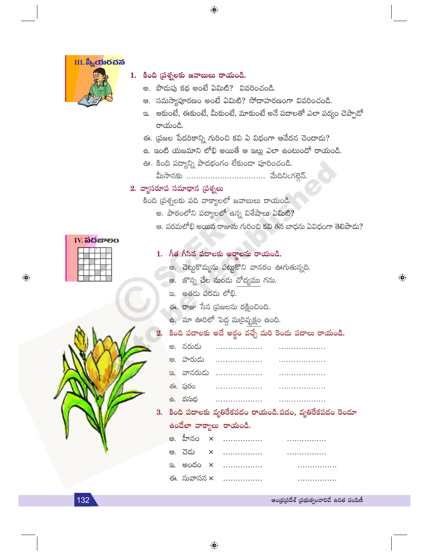

**IV.** ನದಚಾಲಂ

 $\bigoplus$ 

#### $1.$  కింది (పశ్నలకు జవాబులు రాయండి.

అ. పొడుపు కథ అంటే ఏమిటి? వివరించండి.

 $\bigoplus$ 

- ఆ. సమస్యాపూరణం అంటే ఏమిటి? సోదాహరణంగా వివరించండి.
- ఇ. ఆకుంటే, ఈకుంటే, మీకుంటే, మాకుంటే అనే పదాలతో ఎలా పద్యం చెప్పాడో రాయండి.
- ఈ. (పజల పేదరికాన్ని గురించి కవి ఏ విధంగా ఆవేదన చెందాడు?
- ఉ. ఇంటి యజమాని లోభి అయితే ఆ ఇల్లు ఎలా ఉంటుందో రాయండి.
- ఊ. కింది పద్యాన్ని పాదభంగం లేకుండా పూరించండి.

మీసానకు .................................. మేదినింగల్గెన్.

#### 2. వ్యాసరూప సమాధాన (పశ్నలు

కింది (పశ్నలకు పది వాక్యాలలో జవాబులు రాయండి.

- అ. పాఠంలోని పద్యాలలో ఉన్న విశేషాలు ఏమిటి?
- ఆ. పరమలోభి అయిన రాజును గురించి కవి తన బాధను ఏవిధంగా తెలిపాదు?

 $\bigoplus$ 

| 1. గీత గీసిన పదాలకు అరాలను రాయండ |  |  |  |
|----------------------------------|--|--|--|
|----------------------------------|--|--|--|

- అ. చెట్టుకొమ్మను పట్టుకొని వానరం ఊగుతున్నది.
- ఆ. జొన్న చేల నుండు చోద్యము గను.
- ఇ. అతడు పరమ లోభి.
- ఈ. రాజు సేన (పజలను రక్షించింది.

 $\bigoplus$ 

- ఉ. మా ఊరిలో పెద్ద మ(రివృక్షం ఉంది.
- కింది పదాలకు అదే అర్థం వచ్చే మరి రెండు పదాలు రాయండి.

| ఈ. పురం |  |
|---------|--|
|         |  |

3. కింది పదాలకు వ్యతిరేకపదం రాయండి.పదం, వ్యతిరేకపదం రెండూ ఉండేలా వాక్యాలు రాయండి.

|  | అ. హీనం x …………….   ……………       |  |
|--|--------------------------------|--|
|  |                                |  |
|  | <u>ఇ. అందం x …………….</u> ……………. |  |
|  | ఈ. సువాసన × …………….             |  |

ఆంధ్రప్రదేశ్ (పభుత్వంవారిచే ఉచిత పంపిణీ

132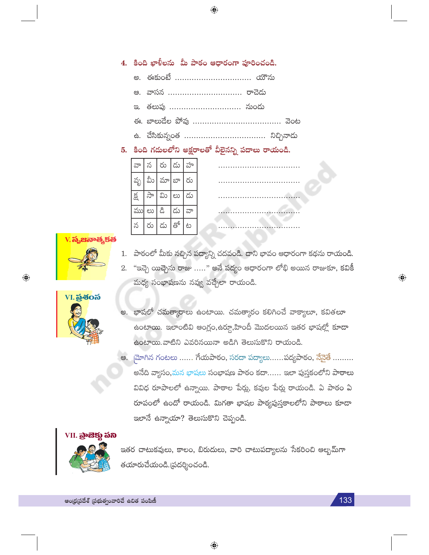## 4. కింది ఖాళీలను మీ పాఠం ఆధారంగా పూరించండి.

- అ. ఈకుంటే ................................. యౌను
- ఆ. వాసన ................................ రాచెడు
- తలుపు ............................... నుందు  $\infty$
- 
- ఉ. చేసికున్నంత ................................... నిచ్చినాదు

#### 5. కింది గదులలోని అక్షరాలతో వీలైనన్ని పదాలు రాయండి.

| ನ್  | న         | రు     | డు      | హ  |  |  |
|-----|-----------|--------|---------|----|--|--|
| వృ  | వీు       | మా బా  |         | రు |  |  |
| క్ష | సా        | ධා $ $ | లు   దు |    |  |  |
| ము  | లు $  \&$ |        | డు      | ವ್ |  |  |
| న   | రు        | డు     | తో      | ట  |  |  |

| $\bullet\bullet$ |  |  |  |  |  |  |  |  |  |  |  |  |  |  |  |  |  |  |
|------------------|--|--|--|--|--|--|--|--|--|--|--|--|--|--|--|--|--|--|
| $\sim$           |  |  |  |  |  |  |  |  |  |  |  |  |  |  |  |  |  |  |
|                  |  |  |  |  |  |  |  |  |  |  |  |  |  |  |  |  |  |  |
|                  |  |  |  |  |  |  |  |  |  |  |  |  |  |  |  |  |  |  |
|                  |  |  |  |  |  |  |  |  |  |  |  |  |  |  |  |  |  |  |

# <mark>V.</mark> సృజినాత్మకత

- 1. పాఠంలో మీకు నచ్చిన పద్యాన్ని చదవండి. దాని భావం ఆధారంగా కథను రాయండి.
- "ఇచ్చె యిచ్చెను రాజు ….." అనే పద్యం ఆధారంగా లోభి అయిన రాజుకూ, కవికీ 2. మధ్య సంభాషణను నవ్వు వచ్చేలా రాయండి.



 $\textcolor{black}{\textcolor{black}{\bigcirc}}$ 

- అ. భాషలో చమత్మారాలు ఉంటాయి. చమత్కారం కలిగించే వాక్యాలూ, కవితలూ ఉంటాయి. ఇలాంటివి ఆంగ్లం,ఉర్దూ,హిందీ మొదలయిన ఇతర భాషల్లో కూడా ఉంటాయి.వాటిని ఎవరినయినా అడిగి తెలుసుకొని రాయండి.
- ఆ. మోగిన గంటలు ...... గేయపాఠం, సరదా పద్యాలు......పద్యపాఠం, నేనైతే ......... అనేది వ్యాసం,మన భాషలు సంభాషణ పాఠం కదా...... ఇలా పుస్తకంలోని పాఠాలు వివిధ రూపాలలో ఉన్నాయి. పాఠాల పేర్లు, కవుల పేర్లు రాయండి. ఏ పాఠం ఏ రూపంలో ఉందో రాయండి. మిగతా భాషల పాఠ్యపుస్తకాలలోని పాఠాలు కూడా ఇలానే ఉన్నాయా? తెలుసుకొని చెప్పండి.

## VII. <mark>ಪ್ರೌజెక్</mark>లు <mark>చని</mark>



ఇతర చాటుకవులు, కాలం, బిరుదులు, వారి చాటుపద్యాలను సేకరించి ఆల్బమ్గా తయారుచేయండి.(పదర్శించండి.

 $\bigoplus$